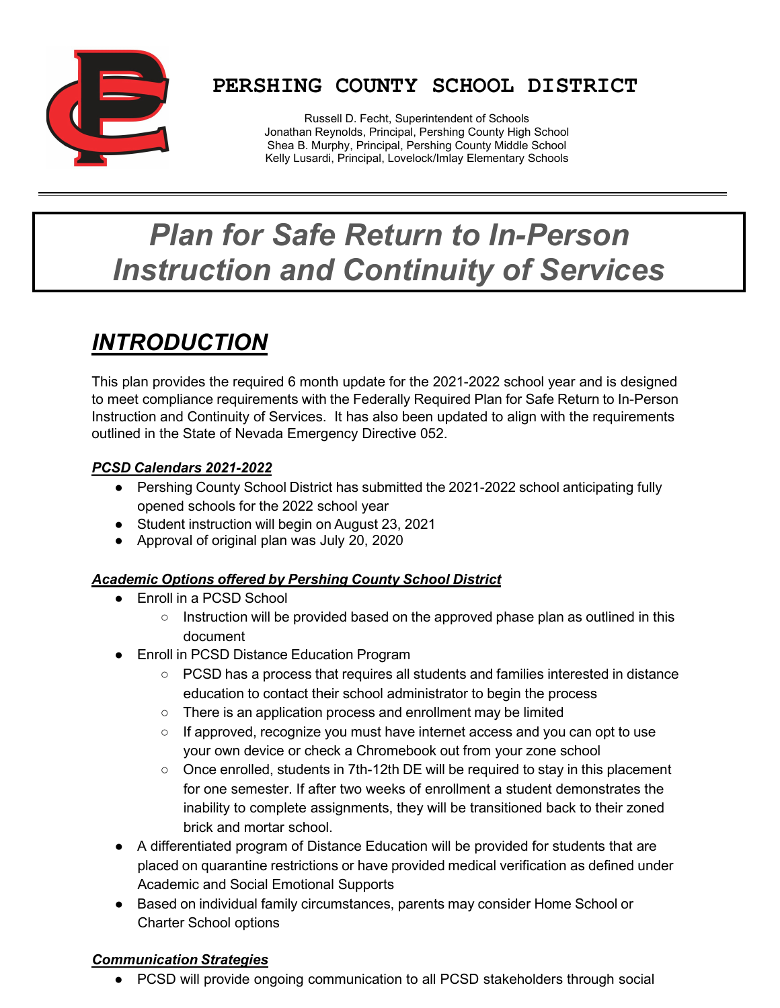

## **PERSHING COUNTY SCHOOL DISTRICT**

Russell D. Fecht, Superintendent of Schools Jonathan Reynolds, Principal, Pershing County High School Shea B. Murphy, Principal, Pershing County Middle School Kelly Lusardi, Principal, Lovelock/Imlay Elementary Schools

# *Plan for Safe Return to In-Person Instruction and Continuity of Services*

## *INTRODUCTION*

This plan provides the required 6 month update for the 2021-2022 school year and is designed to meet compliance requirements with the Federally Required Plan for Safe Return to In-Person Instruction and Continuity of Services. It has also been updated to align with the requirements outlined in the State of Nevada Emergency Directive 052.

#### *PCSD Calendars 2021-2022*

- **●** Pershing County School District has submitted the 2021-2022 school anticipating fully opened schools for the 2022 school year
- **●** Student instruction will begin on August 23, 2021
- **●** Approval of original plan was July 20, 2020

#### *Academic Options offered by Pershing County School District*

- Enroll in a PCSD School
	- $\circ$  Instruction will be provided based on the approved phase plan as outlined in this document
- Enroll in PCSD Distance Education Program
	- PCSD has a process that requires all students and families interested in distance education to contact their school administrator to begin the process
	- There is an application process and enrollment may be limited
	- $\circ$  If approved, recognize you must have internet access and you can opt to use your own device or check a Chromebook out from your zone school
	- Once enrolled, students in 7th-12th DE will be required to stay in this placement for one semester. If after two weeks of enrollment a student demonstrates the inability to complete assignments, they will be transitioned back to their zoned brick and mortar school.
- A differentiated program of Distance Education will be provided for students that are placed on quarantine restrictions or have provided medical verification as defined under Academic and Social Emotional Supports
- Based on individual family circumstances, parents may consider Home School or Charter School options

#### *Communication Strategies*

● PCSD will provide ongoing communication to all PCSD stakeholders through social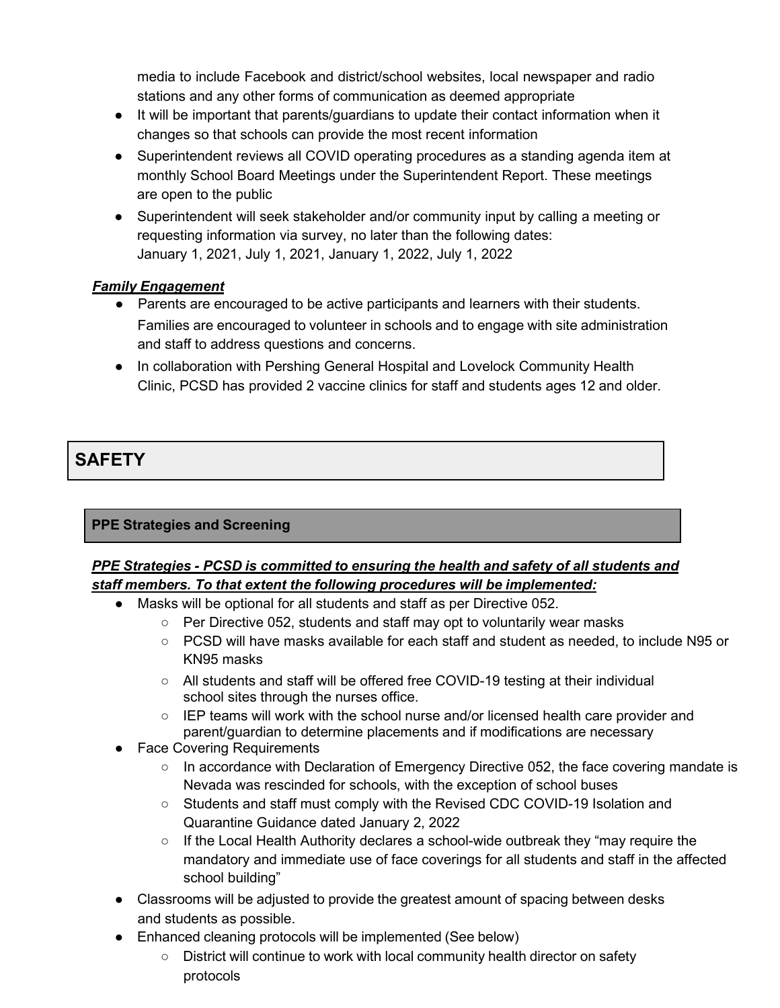media to include Facebook and district/school websites, local newspaper and radio stations and any other forms of communication as deemed appropriate

- It will be important that parents/guardians to update their contact information when it changes so that schools can provide the most recent information
- Superintendent reviews all COVID operating procedures as a standing agenda item at monthly School Board Meetings under the Superintendent Report. These meetings are open to the public
- Superintendent will seek stakeholder and/or community input by calling a meeting or requesting information via survey, no later than the following dates: January 1, 2021, July 1, 2021, January 1, 2022, July 1, 2022

#### *Family Engagement*

- Parents are encouraged to be active participants and learners with their students. Families are encouraged to volunteer in schools and to engage with site administration and staff to address questions and concerns.
- In collaboration with Pershing General Hospital and Lovelock Community Health Clinic, PCSD has provided 2 vaccine clinics for staff and students ages 12 and older.

### **SAFETY**

#### **PPE Strategies and Screening**

#### *PPE Strategies - PCSD is committed to ensuring the health and safety of all students and staff members. To that extent the following procedures will be implemented:*

- Masks will be optional for all students and staff as per Directive 052.
	- Per Directive 052, students and staff may opt to voluntarily wear masks
	- PCSD will have masks available for each staff and student as needed, to include N95 or KN95 masks
	- All students and staff will be offered free COVID-19 testing at their individual school sites through the nurses office.
	- IEP teams will work with the school nurse and/or licensed health care provider and parent/guardian to determine placements and if modifications are necessary
- Face Covering Requirements
	- In accordance with Declaration of Emergency Directive 052, the face covering mandate is Nevada was rescinded for schools, with the exception of school buses
	- Students and staff must comply with the Revised CDC COVID-19 Isolation and Quarantine Guidance dated January 2, 2022
	- $\circ$  If the Local Health Authority declares a school-wide outbreak they "may require the mandatory and immediate use of face coverings for all students and staff in the affected school building"
- Classrooms will be adjusted to provide the greatest amount of spacing between desks and students as possible.
- Enhanced cleaning protocols will be implemented (See below)
	- District will continue to work with local community health director on safety protocols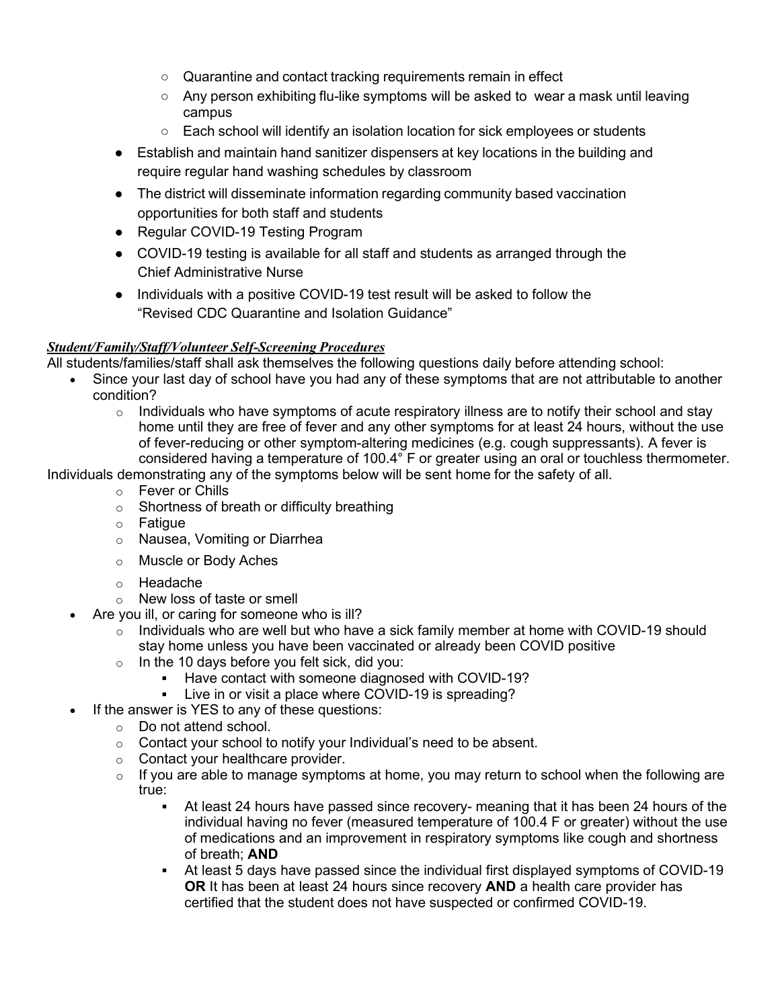- Quarantine and contact tracking requirements remain in effect
- $\circ$  Any person exhibiting flu-like symptoms will be asked to wear a mask until leaving campus
- Each school will identify an isolation location for sick employees or students
- Establish and maintain hand sanitizer dispensers at key locations in the building and require regular hand washing schedules by classroom
- The district will disseminate information regarding community based vaccination opportunities for both staff and students
- Regular COVID-19 Testing Program
- COVID-19 testing is available for all staff and students as arranged through the Chief Administrative Nurse
- Individuals with a positive COVID-19 test result will be asked to follow the "Revised CDC Quarantine and Isolation Guidance"

#### *Student/Family/Staff/Volunteer Self-Screening Procedures*

All students/families/staff shall ask themselves the following questions daily before attending school:

- Since your last day of school have you had any of these symptoms that are not attributable to another condition?
	- $\circ$  Individuals who have symptoms of acute respiratory illness are to notify their school and stay home until they are free of fever and any other symptoms for at least 24 hours, without the use of fever-reducing or other symptom-altering medicines (e.g. cough suppressants). A fever is considered having a temperature of 100.4° F or greater using an oral or touchless thermometer.

Individuals demonstrating any of the symptoms below will be sent home for the safety of all.

- o Fever or Chills
- o Shortness of breath or difficulty breathing
- o Fatigue
- o Nausea, Vomiting or Diarrhea
- o Muscle or Body Aches
- o Headache
- $\circ$  New loss of taste or smell
- Are you ill, or caring for someone who is ill?
	- $\circ$  Individuals who are well but who have a sick family member at home with COVID-19 should stay home unless you have been vaccinated or already been COVID positive
	- $\circ$  In the 10 days before you felt sick, did you:
		- Have contact with someone diagnosed with COVID-19?<br>• Live in or visit a place where COVID-19 is spreading?
		- Live in or visit a place where COVID-19 is spreading?
	- If the answer is YES to any of these questions:
		- o Do not attend school.
		- $\circ$  Contact your school to notify your Individual's need to be absent.
		- o Contact your healthcare provider.
		- $\circ$  If you are able to manage symptoms at home, you may return to school when the following are true:
			- At least 24 hours have passed since recovery- meaning that it has been 24 hours of the individual having no fever (measured temperature of 100.4 F or greater) without the use of medications and an improvement in respiratory symptoms like cough and shortness of breath; **AND**
			- At least 5 days have passed since the individual first displayed symptoms of COVID-19 **OR** It has been at least 24 hours since recovery **AND** a health care provider has certified that the student does not have suspected or confirmed COVID-19.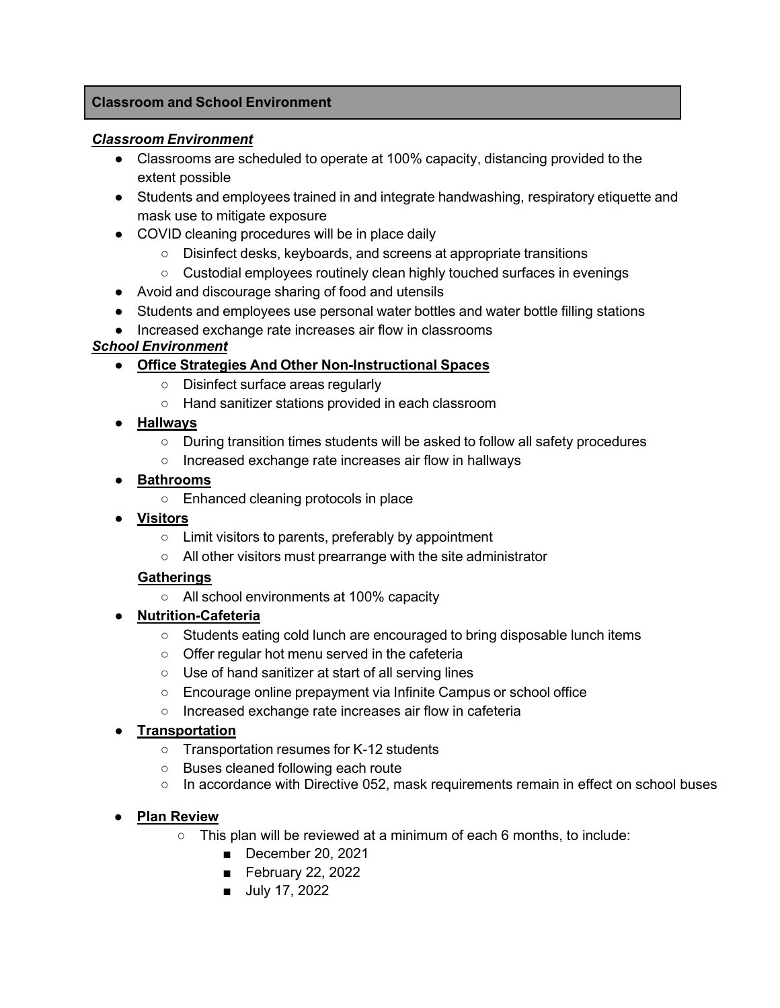#### **Classroom and School Environment**

#### *Classroom Environment*

- Classrooms are scheduled to operate at 100% capacity, distancing provided to the extent possible
- Students and employees trained in and integrate handwashing, respiratory etiquette and mask use to mitigate exposure
- COVID cleaning procedures will be in place daily
	- Disinfect desks, keyboards, and screens at appropriate transitions
	- Custodial employees routinely clean highly touched surfaces in evenings
- Avoid and discourage sharing of food and utensils
- Students and employees use personal water bottles and water bottle filling stations
- Increased exchange rate increases air flow in classrooms

#### *School Environment*

#### **● Office Strategies And Other Non-Instructional Spaces**

- Disinfect surface areas regularly
- Hand sanitizer stations provided in each classroom
- **● Hallways**
	- During transition times students will be asked to follow all safety procedures
	- Increased exchange rate increases air flow in hallways
- **● Bathrooms**
	- Enhanced cleaning protocols in place
- **● Visitors**
	- Limit visitors to parents, preferably by appointment
	- All other visitors must prearrange with the site administrator

#### **Gatherings**

- All school environments at 100% capacity
- **● Nutrition-Cafeteria**
	- Students eating cold lunch are encouraged to bring disposable lunch items
	- Offer regular hot menu served in the cafeteria
	- Use of hand sanitizer at start of all serving lines
	- Encourage online prepayment via Infinite Campus or school office
	- Increased exchange rate increases air flow in cafeteria

#### **● Transportation**

- **○** Transportation resumes for K-12 students
- **○** Buses cleaned following each route
- **○** In accordance with Directive 052, mask requirements remain in effect on school buses

#### ● **Plan Review**

- This plan will be reviewed at a minimum of each 6 months, to include:
	- December 20, 2021
	- February 22, 2022
	- July 17, 2022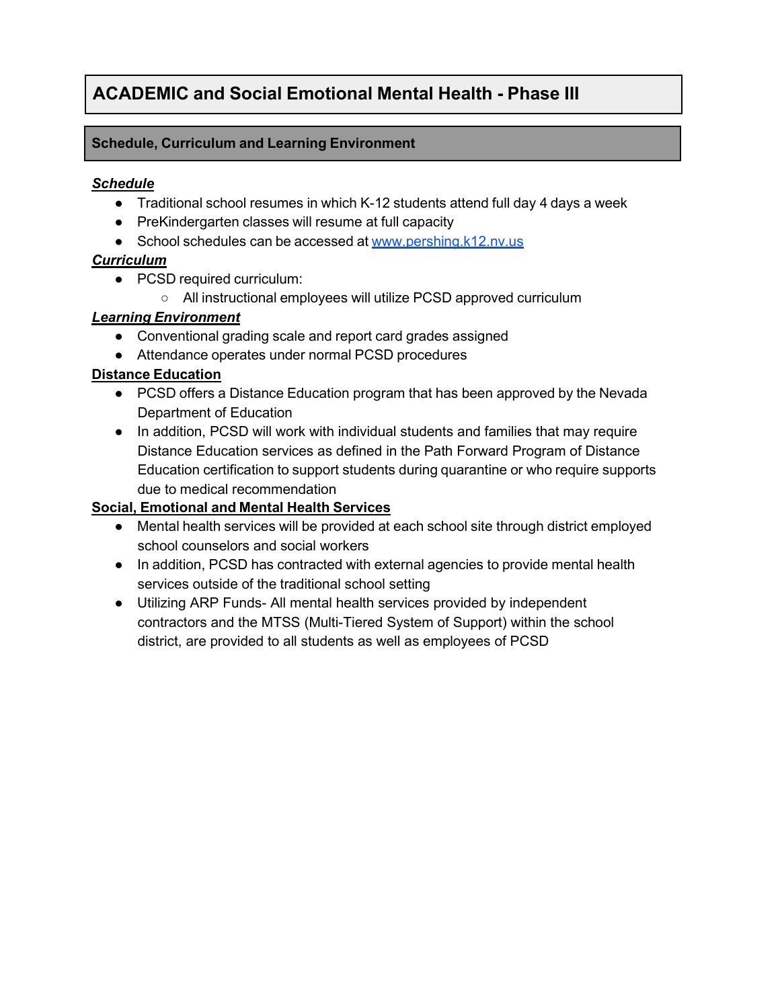## **ACADEMIC and Social Emotional Mental Health - Phase III**

#### **Schedule, Curriculum and Learning Environment**

#### *Schedule*

- Traditional school resumes in which K-12 students attend full day 4 days a week
- PreKindergarten classes will resume at full capacity
- School schedules can be accessed at [www.pershing.k12.nv.us](http://www.hcsdnv.com/)

#### *Curriculum*

- PCSD required curriculum:
	- All instructional employees will utilize PCSD approved curriculum

#### *Learning Environment*

- Conventional grading scale and report card grades assigned
- Attendance operates under normal PCSD procedures

#### **Distance Education**

- PCSD offers a Distance Education program that has been approved by the Nevada Department of Education
- In addition, PCSD will work with individual students and families that may require Distance Education services as defined in the Path Forward Program of Distance Education certification to support students during quarantine or who require supports due to medical recommendation

#### **Social, Emotional and Mental Health Services**

- Mental health services will be provided at each school site through district employed school counselors and social workers
- In addition, PCSD has contracted with external agencies to provide mental health services outside of the traditional school setting
- Utilizing ARP Funds- All mental health services provided by independent contractors and the MTSS (Multi-Tiered System of Support) within the school district, are provided to all students as well as employees of PCSD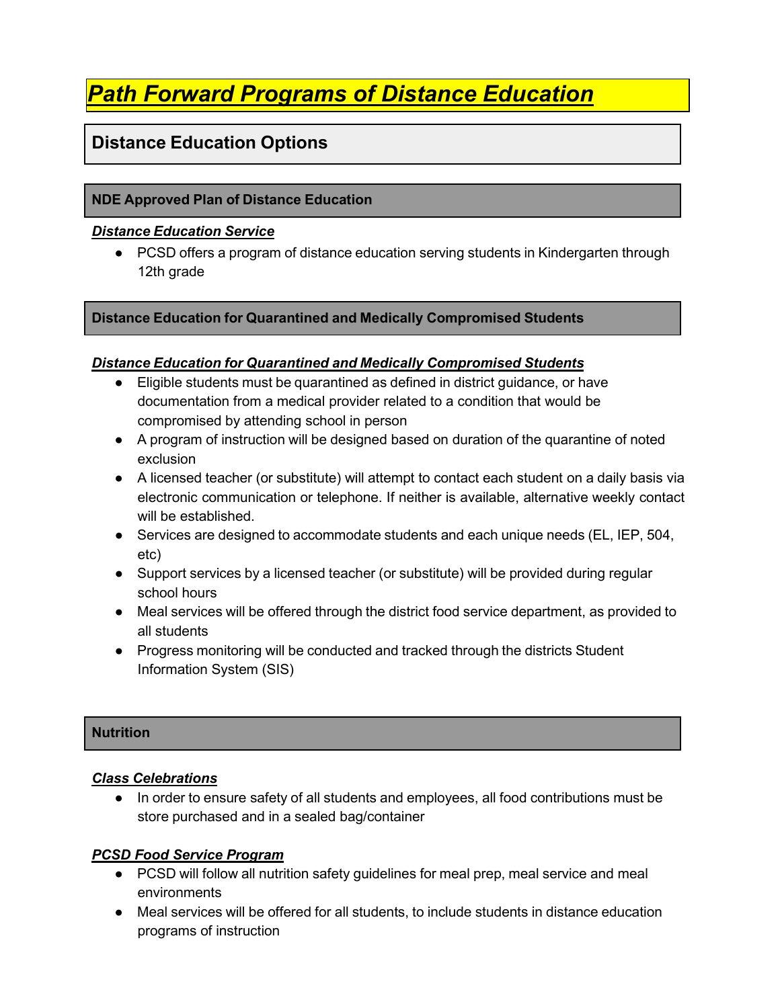## *Path Forward Programs of Distance Education*

### **Distance Education Options**

#### **NDE Approved Plan of Distance Education**

#### *Distance Education Service*

● PCSD offers a program of distance education serving students in Kindergarten through 12th grade

#### **Distance Education for Quarantined and Medically Compromised Students**

#### *Distance Education for Quarantined and Medically Compromised Students*

- Eligible students must be quarantined as defined in district guidance, or have documentation from a medical provider related to a condition that would be compromised by attending school in person
- A program of instruction will be designed based on duration of the quarantine of noted exclusion
- A licensed teacher (or substitute) will attempt to contact each student on a daily basis via electronic communication or telephone. If neither is available, alternative weekly contact will be established.
- Services are designed to accommodate students and each unique needs (EL, IEP, 504, etc)
- Support services by a licensed teacher (or substitute) will be provided during regular school hours
- Meal services will be offered through the district food service department, as provided to all students
- Progress monitoring will be conducted and tracked through the districts Student Information System (SIS)

#### **Nutrition**

#### *Class Celebrations*

● In order to ensure safety of all students and employees, all food contributions must be store purchased and in a sealed bag/container

#### *PCSD Food Service Program*

- PCSD will follow all nutrition safety guidelines for meal prep, meal service and meal environments
- Meal services will be offered for all students, to include students in distance education programs of instruction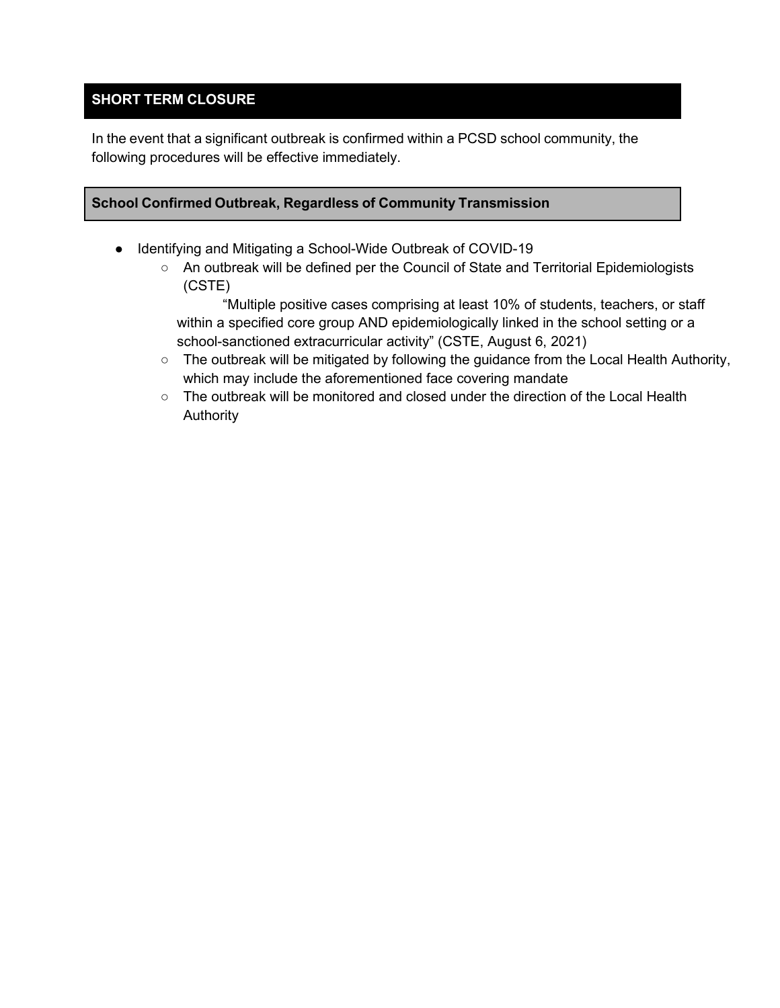#### **SHORT TERM CLOSURE**

In the event that a significant outbreak is confirmed within a PCSD school community, the following procedures will be effective immediately.

#### **School Confirmed Outbreak, Regardless of Community Transmission**

- Identifying and Mitigating a School-Wide Outbreak of COVID-19
	- An outbreak will be defined per the Council of State and Territorial Epidemiologists (CSTE)

"Multiple positive cases comprising at least 10% of students, teachers, or staff within a specified core group AND epidemiologically linked in the school setting or a school-sanctioned extracurricular activity" (CSTE, August 6, 2021)

- The outbreak will be mitigated by following the guidance from the Local Health Authority, which may include the aforementioned face covering mandate
- $\circ$  The outbreak will be monitored and closed under the direction of the Local Health Authority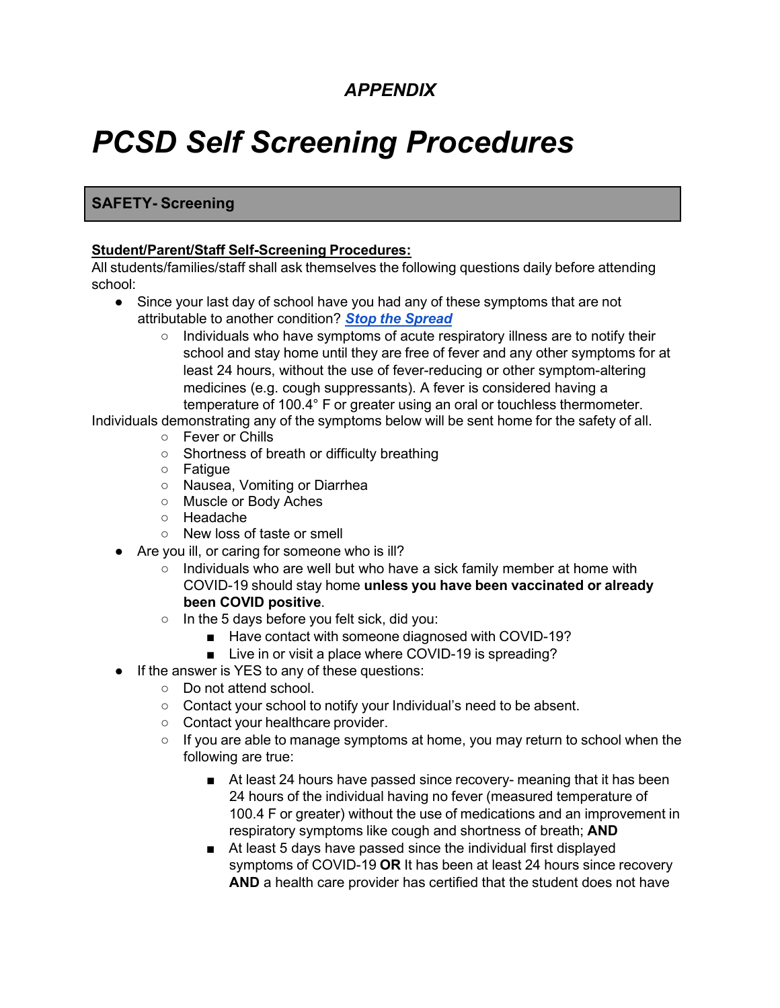## *APPENDIX*

# *PCSD Self Screening Procedures*

#### **SAFETY- Screening**

#### **Student/Parent/Staff Self-Screening Procedures:**

All students/families/staff shall ask themselves the following questions daily before attending school:

- Since your last day of school have you had any of these symptoms that are not attributable to another condition? *Stop the [Spread](https://www.cdc.gov/coronavirus/2019-ncov/downloads/stop-the-spread-of-germs.pdf)*
	- Individuals who have symptoms of acute respiratory illness are to notify their school and stay home until they are free of fever and any other symptoms for at least 24 hours, without the use of fever-reducing or other symptom-altering medicines (e.g. cough suppressants). A fever is considered having a temperature of 100.4° F or greater using an oral or touchless thermometer.
- Individuals demonstrating any of the symptoms below will be sent home for the safety of all. ○ Fever or Chills
	- Shortness of breath or difficulty breathing
	- Fatigue
	- Nausea, Vomiting or Diarrhea
	- Muscle or Body Aches
	- Headache
	- New loss of taste or smell
	- Are you ill, or caring for someone who is ill?
		- Individuals who are well but who have a sick family member at home with COVID-19 should stay home **unless you have been vaccinated or already been COVID positive**.
		- In the 5 days before you felt sick, did you:
			- Have contact with someone diagnosed with COVID-19?
			- Live in or visit a place where COVID-19 is spreading?
	- If the answer is YES to any of these questions:
		- Do not attend school.
		- Contact your school to notify your Individual's need to be absent.
		- Contact your healthcare provider.
		- If you are able to manage symptoms at home, you may return to school when the following are true:
			- At least 24 hours have passed since recovery- meaning that it has been 24 hours of the individual having no fever (measured temperature of 100.4 F or greater) without the use of medications and an improvement in respiratory symptoms like cough and shortness of breath; **AND**
			- At least 5 days have passed since the individual first displayed symptoms of COVID-19 **OR** It has been at least 24 hours since recovery **AND** a health care provider has certified that the student does not have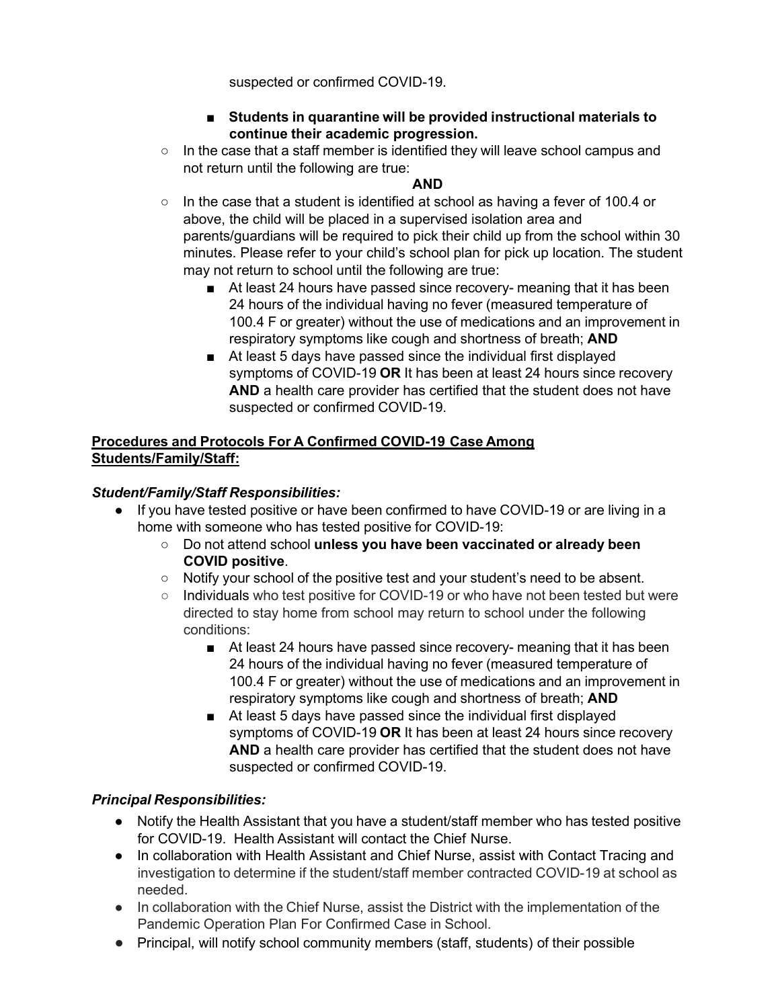suspected or confirmed COVID-19.

- **■ Students in quarantine will be provided instructional materials to continue their academic progression.**
- In the case that a staff member is identified they will leave school campus and not return until the following are true:

#### **AND**

- In the case that a student is identified at school as having a fever of 100.4 or above, the child will be placed in a supervised isolation area and parents/guardians will be required to pick their child up from the school within 30 minutes. Please refer to your child's school plan for pick up location. The student may not return to school until the following are true:
	- At least 24 hours have passed since recovery- meaning that it has been 24 hours of the individual having no fever (measured temperature of 100.4 F or greater) without the use of medications and an improvement in respiratory symptoms like cough and shortness of breath; **AND**
	- At least 5 days have passed since the individual first displayed symptoms of COVID-19 **OR** It has been at least 24 hours since recovery **AND** a health care provider has certified that the student does not have suspected or confirmed COVID-19.

#### **Procedures and Protocols For A Confirmed COVID-19 Case Among Students/Family/Staff:**

#### *Student/Family/Staff Responsibilities:*

- If you have tested positive or have been confirmed to have COVID-19 or are living in a home with someone who has tested positive for COVID-19:
	- Do not attend school **unless you have been vaccinated or already been COVID positive**.
	- Notify your school of the positive test and your student's need to be absent.
	- Individuals who test positive for COVID-19 or who have not been tested but were directed to stay home from school may return to school under the following conditions:
		- At least 24 hours have passed since recovery- meaning that it has been 24 hours of the individual having no fever (measured temperature of 100.4 F or greater) without the use of medications and an improvement in respiratory symptoms like cough and shortness of breath; **AND**
		- At least 5 days have passed since the individual first displayed symptoms of COVID-19 **OR** It has been at least 24 hours since recovery **AND** a health care provider has certified that the student does not have suspected or confirmed COVID-19.

#### *Principal Responsibilities:*

- Notify the Health Assistant that you have a student/staff member who has tested positive for COVID-19. Health Assistant will contact the Chief Nurse.
- In collaboration with Health Assistant and Chief Nurse, assist with Contact Tracing and investigation to determine if the student/staff member contracted COVID-19 at school as needed.
- In collaboration with the Chief Nurse, assist the District with the implementation of the Pandemic Operation Plan For Confirmed Case in School.
- Principal, will notify school community members (staff, students) of their possible